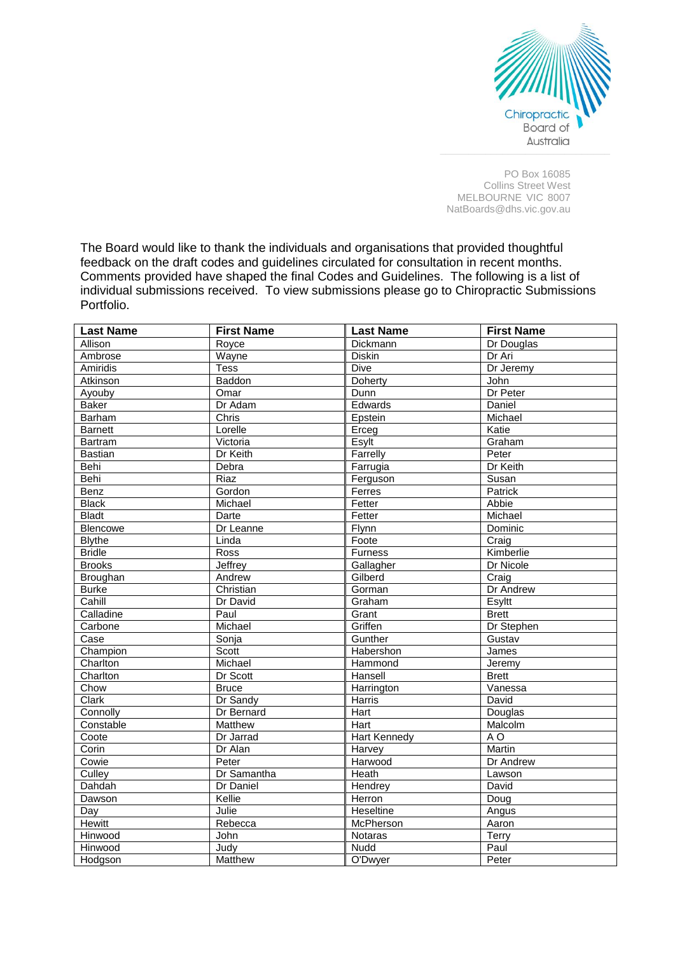

PO Box 16085 Collins Street West MELBOURNE VIC 8007 NatBoards@dhs.vic.gov.au

The Board would like to thank the individuals and organisations that provided thoughtful feedback on the draft codes and guidelines circulated for consultation in recent months. Comments provided have shaped the final Codes and Guidelines. The following is a list of individual submissions received. To view submissions please go to Chiropractic Submissions Portfolio.

| <b>Last Name</b> | <b>First Name</b> | <b>Last Name</b>    | <b>First Name</b>   |
|------------------|-------------------|---------------------|---------------------|
| Allison          | Royce             | Dickmann            | Dr Douglas          |
| Ambrose          | Wayne             | <b>Diskin</b>       | Dr Ari              |
| Amiridis         | <b>Tess</b>       | <b>Dive</b>         | Dr Jeremy           |
| Atkinson         | Baddon            | Doherty             | John                |
| Ayouby           | Omar              | Dunn                | Dr Peter            |
| <b>Baker</b>     | Dr Adam           | Edwards             | Daniel              |
| Barham           | Chris             | Epstein             | Michael             |
| <b>Barnett</b>   | Lorelle           | Erceg               | Katie               |
| Bartram          | Victoria          | Esylt               | Graham              |
| <b>Bastian</b>   | Dr Keith          | Farrelly            | Peter               |
| <b>Behi</b>      | Debra             | Farrugia            | Dr Keith            |
| Behi             | Riaz              | Ferguson            | Susan               |
| Benz             | Gordon            | Ferres              | Patrick             |
| <b>Black</b>     | Michael           | Fetter              | Abbie               |
| <b>Bladt</b>     | Darte             | Fetter              | Michael             |
| Blencowe         | Dr Leanne         | Flynn               | Dominic             |
| <b>Blythe</b>    | Linda             | Foote               | $\overline{C}$ raig |
| <b>Bridle</b>    | Ross              | Furness             | Kimberlie           |
| <b>Brooks</b>    | Jeffrey           | Gallagher           | <b>Dr Nicole</b>    |
| Broughan         | Andrew            | Gilberd             | Craig               |
| <b>Burke</b>     | Christian         | Gorman              | Dr Andrew           |
| Cahill           | Dr David          | Graham              | Esyltt              |
| Calladine        | Paul              | Grant               | <b>Brett</b>        |
| Carbone          | Michael           | Griffen             | Dr Stephen          |
| Case             | Sonja             | Gunther             | Gustav              |
| Champion         | Scott             | Habershon           | James               |
| Charlton         | Michael           | Hammond             | Jeremy              |
| Charlton         | Dr Scott          | Hansell             | <b>Brett</b>        |
| Chow             | <b>Bruce</b>      | Harrington          | Vanessa             |
| Clark            | Dr Sandy          | <b>Harris</b>       | David               |
| Connolly         | Dr Bernard        | <b>Hart</b>         | Douglas             |
| Constable        | Matthew           | <b>Hart</b>         | Malcolm             |
| Coote            | Dr Jarrad         | <b>Hart Kennedy</b> | A <sub>O</sub>      |
| Corin            | Dr Alan           | Harvey              | <b>Martin</b>       |
| Cowie            | Peter             | Harwood             | <b>Dr Andrew</b>    |
| Culley           | Dr Samantha       | Heath               | Lawson              |
| Dahdah           | <b>Dr Daniel</b>  | Hendrey             | David               |
| Dawson           | Kellie            | Herron              | Doug                |
| $\overline{Day}$ | Julie             | <b>Heseltine</b>    | Angus               |
| <b>Hewitt</b>    | Rebecca           | McPherson           | Aaron               |
| Hinwood          | John              | Notaras             | Terry               |
| Hinwood          | Judy              | Nudd                | Paul                |
| Hodgson          | <b>Matthew</b>    | O'Dwyer             | Peter               |